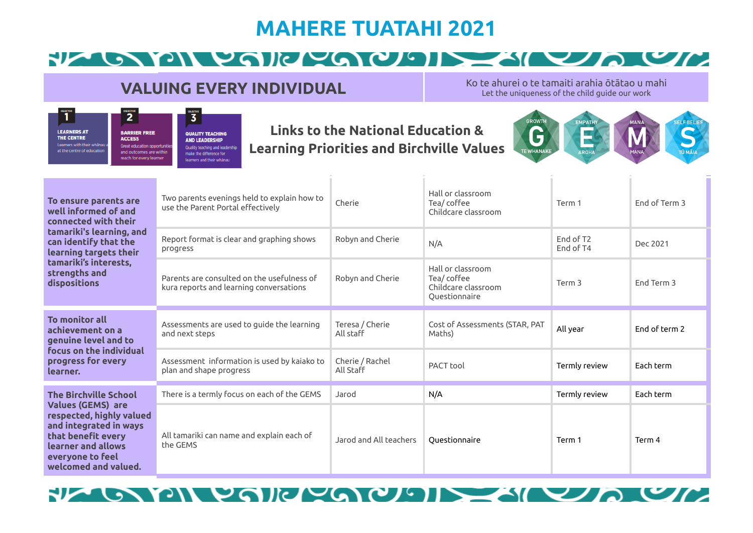# **MAHERE TUATAHI 2021**

#### FLANDIN POILLEOL  $\mathcal{L}$  or  $\mathcal{L}$

#### **VALUING EVERY INDIVIDUAL**

Ko te ahurei o te tamaiti arahia ōtātao u mahi Let the uniqueness of the child guide our work

#### $\begin{array}{c} \text{otherwise} \\\\ \text{1} \end{array}$  $\overline{2}$  $\overline{3}$ **LEARNERS AT BARRIER FREE QUALITY TEACHING** THE CENTRE **ACCESS AND LEADERSHIP** Loarnors with their whanai Great education opportuniti Quality teaching and leadership at the centre of education and outcomes are within make the difference for reach for every learner learners and their whänau

#### **Links to the National Education & Learning Priorities and Birchville Values**



| To ensure parents are<br>well informed of and<br>connected with their<br>tamariki's learning, and<br>can identify that the<br>learning targets their<br>tamariki's interests,<br>strengths and<br>dispositions | Two parents evenings held to explain how to<br>use the Parent Portal effectively      | Cherie                       | Hall or classroom<br>Tea/ coffee<br>Childcare classroom                 | Term 1                             | Fnd of Term 3 |
|----------------------------------------------------------------------------------------------------------------------------------------------------------------------------------------------------------------|---------------------------------------------------------------------------------------|------------------------------|-------------------------------------------------------------------------|------------------------------------|---------------|
|                                                                                                                                                                                                                | Report format is clear and graphing shows<br>progress                                 | Robyn and Cherie             | N/A                                                                     | End of T <sub>2</sub><br>End of T4 | Dec 2021      |
|                                                                                                                                                                                                                | Parents are consulted on the usefulness of<br>kura reports and learning conversations | Robyn and Cherie             | Hall or classroom<br>Tea/coffee<br>Childcare classroom<br>Questionnaire | Term <sub>3</sub>                  | End Term 3    |
| To monitor all<br>achievement on a<br>genuine level and to<br>focus on the individual<br>progress for every<br>learner.                                                                                        | Assessments are used to guide the learning<br>and next steps                          | Teresa / Cherie<br>All staff | Cost of Assessments (STAR, PAT<br>Maths)                                | All year                           | End of term 2 |
|                                                                                                                                                                                                                | Assessment information is used by kajako to<br>plan and shape progress                | Cherie / Rachel<br>All Staff | <b>PACT</b> tool                                                        | Termly review                      | Each term     |
| <b>The Birchville School</b><br><b>Values (GEMS) are</b><br>respected, highly valued<br>and integrated in ways<br>that benefit every<br>learner and allows<br>everyone to feel<br>welcomed and valued.         | There is a termly focus on each of the GEMS                                           | Jarod                        | N/A                                                                     | Termly review                      | Each term     |
|                                                                                                                                                                                                                | All tamariki can name and explain each of<br>the GEMS                                 | Jarod and All teachers       | Questionnaire                                                           | Term 1                             | Term 4        |

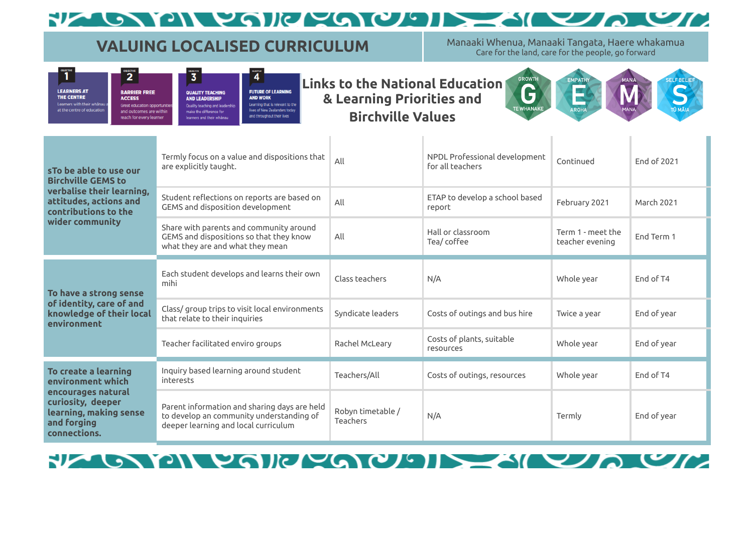#### $\bullet$  YON VAIN/VAIOU RIA (  $\mathbf{C}$

### **VALUING LOCALISED CURRICULUM** Manaaki Whenua, Manaaki Tangata, Haere whakamua

Care for the land, care for the people, go forward

| <b>TWE</b>                                                  | <b>OBJECTIVE</b>                                                             | <b>GRASSTIVE</b>                                                                    | <b>GRUSCTIVE</b>                                                                 |                |
|-------------------------------------------------------------|------------------------------------------------------------------------------|-------------------------------------------------------------------------------------|----------------------------------------------------------------------------------|----------------|
|                                                             |                                                                              |                                                                                     |                                                                                  | Links to the N |
| <b>INERS AT</b><br><b>CENTRE</b><br>ers with their whänau a | <b>BARRIER FREE</b><br><b>ACCESS</b><br><b>Great education opportunities</b> | <b>QUALITY TEACHING</b><br><b>AND LEADERSHIP</b><br>Quality teaching and leadership | <b>FUTURE OF LEARNING</b><br><b>AND WORK</b><br>Learning that is relevant to the | & Learning     |
| centre of education                                         | and outcomes are within<br>reach for every learner                           | make the difference for<br>learners and their whanau                                | lives of New Zealanders today<br>and throughout their lives                      | <b>Birchvi</b> |

LEAR<br>THE<br>Learn<br>at the

**Links to the National Education & Learning Priorities and Birchville Values**



| s To be able to use our<br><b>Birchville GEMS to</b><br>verbalise their learning,<br>attitudes, actions and<br>contributions to the<br>wider community | Termly focus on a value and dispositions that<br>are explicitly taught.                                                          | All                           | NPDL Professional development<br>for all teachers | Continued                            | Fnd of 2021 |
|--------------------------------------------------------------------------------------------------------------------------------------------------------|----------------------------------------------------------------------------------------------------------------------------------|-------------------------------|---------------------------------------------------|--------------------------------------|-------------|
|                                                                                                                                                        | Student reflections on reports are based on<br>GEMS and disposition development                                                  | All                           | ETAP to develop a school based<br>report          | February 2021                        | March 2021  |
|                                                                                                                                                        | Share with parents and community around<br>GEMS and dispositions so that they know<br>what they are and what they mean           | All                           | Hall or classroom<br>Tea/ coffee                  | Term 1 - meet the<br>teacher evening | End Term 1  |
| To have a strong sense<br>of identity, care of and<br>knowledge of their local<br>environment                                                          | Each student develops and learns their own<br>mihi                                                                               | Class teachers                | N/A                                               | Whole year                           | End of T4   |
|                                                                                                                                                        | Class/group trips to visit local environments<br>that relate to their inquiries                                                  | Syndicate leaders             | Costs of outings and bus hire                     | Twice a year                         | End of year |
|                                                                                                                                                        | Teacher facilitated enviro groups                                                                                                | Rachel McLeary                | Costs of plants, suitable<br>resources            | Whole year                           | End of year |
| To create a learning<br>environment which<br>encourages natural<br>curiosity, deeper<br>learning, making sense<br>and forging<br>connections.          | Inquiry based learning around student<br>interests                                                                               | Teachers/All                  | Costs of outings, resources                       | Whole year                           | End of T4   |
|                                                                                                                                                        | Parent information and sharing days are held<br>to develop an community understanding of<br>deeper learning and local curriculum | Robyn timetable /<br>Teachers | N/A                                               | Termly                               | End of year |

FRIDY PORT COMPLETE CA